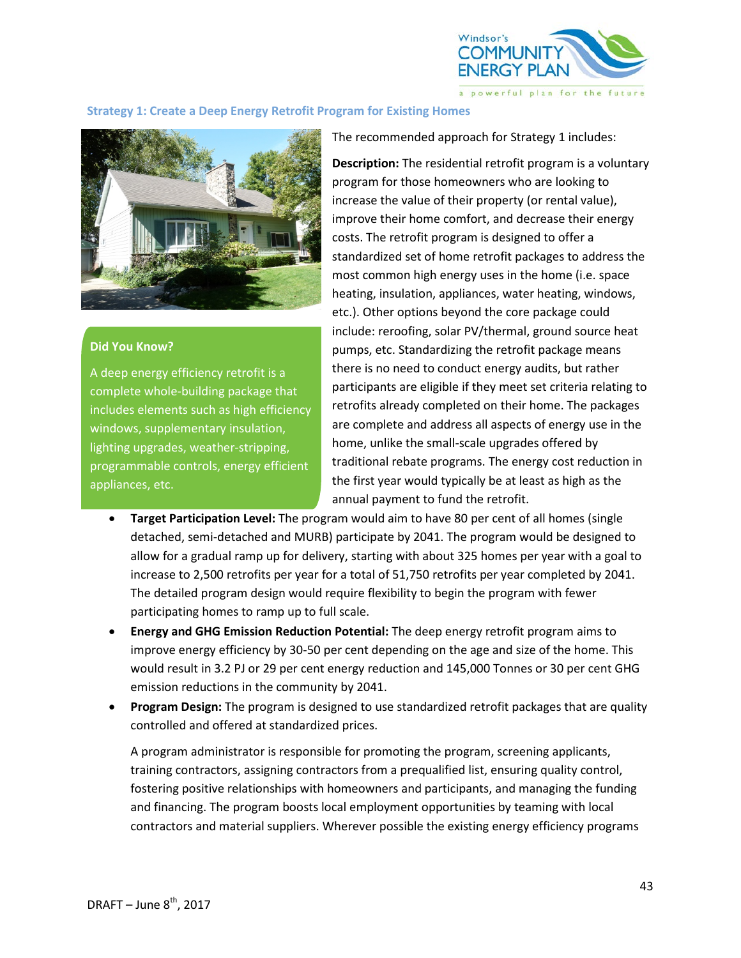

## **Strategy 1: Create a Deep Energy Retrofit Program for Existing Homes**



## **Did You Know?**

A deep energy efficiency retrofit is a complete whole-building package that includes elements such as high efficiency windows, supplementary insulation, lighting upgrades, weather-stripping, programmable controls, energy efficient appliances, etc.

The recommended approach for Strategy 1 includes:

**Description:** The residential retrofit program is a voluntary program for those homeowners who are looking to increase the value of their property (or rental value), improve their home comfort, and decrease their energy costs. The retrofit program is designed to offer a standardized set of home retrofit packages to address the most common high energy uses in the home (i.e. space heating, insulation, appliances, water heating, windows, etc.). Other options beyond the core package could include: reroofing, solar PV/thermal, ground source heat pumps, etc. Standardizing the retrofit package means there is no need to conduct energy audits, but rather participants are eligible if they meet set criteria relating to retrofits already completed on their home. The packages are complete and address all aspects of energy use in the home, unlike the small-scale upgrades offered by traditional rebate programs. The energy cost reduction in the first year would typically be at least as high as the annual payment to fund the retrofit.

- **Target Participation Level:** The program would aim to have 80 per cent of all homes (single detached, semi-detached and MURB) participate by 2041. The program would be designed to allow for a gradual ramp up for delivery, starting with about 325 homes per year with a goal to increase to 2,500 retrofits per year for a total of 51,750 retrofits per year completed by 2041. The detailed program design would require flexibility to begin the program with fewer participating homes to ramp up to full scale.
- **Energy and GHG Emission Reduction Potential:** The deep energy retrofit program aims to improve energy efficiency by 30-50 per cent depending on the age and size of the home. This would result in 3.2 PJ or 29 per cent energy reduction and 145,000 Tonnes or 30 per cent GHG emission reductions in the community by 2041.
- **Program Design:** The program is designed to use standardized retrofit packages that are quality controlled and offered at standardized prices.

A program administrator is responsible for promoting the program, screening applicants, training contractors, assigning contractors from a prequalified list, ensuring quality control, fostering positive relationships with homeowners and participants, and managing the funding and financing. The program boosts local employment opportunities by teaming with local contractors and material suppliers. Wherever possible the existing energy efficiency programs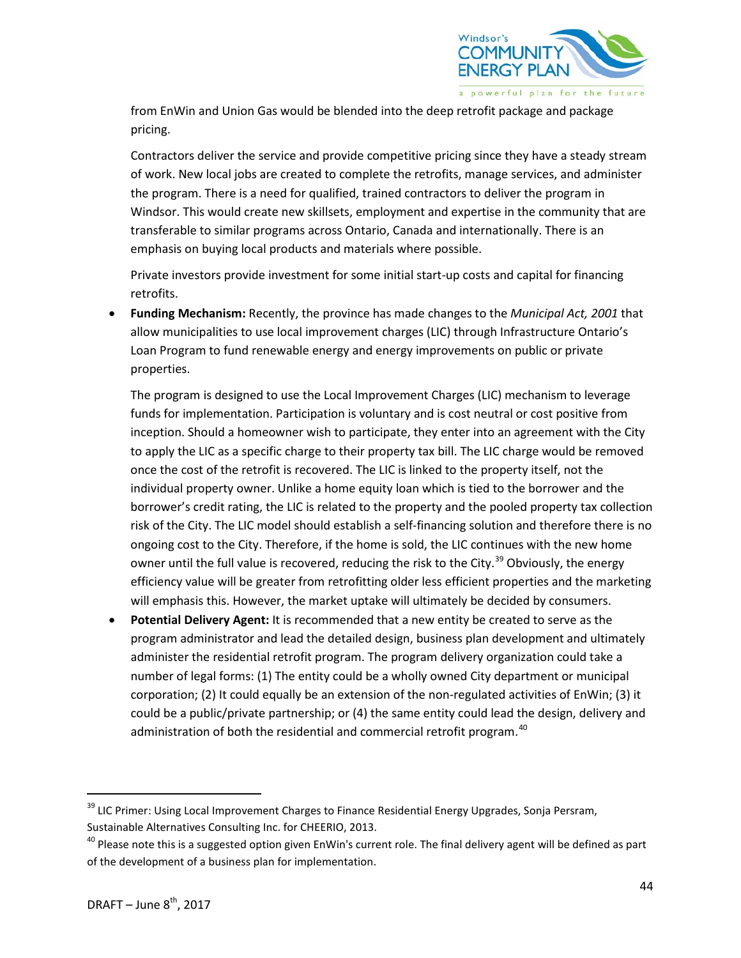

from EnWin and Union Gas would be blended into the deep retrofit package and package pricing.

Contractors deliver the service and provide competitive pricing since they have a steady stream of work. New local jobs are created to complete the retrofits, manage services, and administer the program. There is a need for qualified, trained contractors to deliver the program in Windsor. This would create new skillsets, employment and expertise in the community that are transferable to similar programs across Ontario, Canada and internationally. There is an emphasis on buying local products and materials where possible.

Private investors provide investment for some initial start-up costs and capital for financing retrofits.

• **Funding Mechanism:** Recently, the province has made changes to the *Municipal Act, 2001* that allow municipalities to use local improvement charges (LIC) through Infrastructure Ontario's Loan Program to fund renewable energy and energy improvements on public or private properties.

The program is designed to use the Local Improvement Charges (LIC) mechanism to leverage funds for implementation. Participation is voluntary and is cost neutral or cost positive from inception. Should a homeowner wish to participate, they enter into an agreement with the City to apply the LIC as a specific charge to their property tax bill. The LIC charge would be removed once the cost of the retrofit is recovered. The LIC is linked to the property itself, not the individual property owner. Unlike a home equity loan which is tied to the borrower and the borrower's credit rating, the LIC is related to the property and the pooled property tax collection risk of the City. The LIC model should establish a self-financing solution and therefore there is no ongoing cost to the City. Therefore, if the home is sold, the LIC continues with the new home owner until the full value is recovered, reducing the risk to the City.<sup>[39](#page-1-0)</sup> Obviously, the energy efficiency value will be greater from retrofitting older less efficient properties and the marketing will emphasis this. However, the market uptake will ultimately be decided by consumers.

• **Potential Delivery Agent:** It is recommended that a new entity be created to serve as the program administrator and lead the detailed design, business plan development and ultimately administer the residential retrofit program. The program delivery organization could take a number of legal forms: (1) The entity could be a wholly owned City department or municipal corporation; (2) It could equally be an extension of the non-regulated activities of EnWin; (3) it could be a public/private partnership; or (4) the same entity could lead the design, delivery and administration of both the residential and commercial retrofit program.<sup>[40](#page-1-1)</sup>

<span id="page-1-0"></span><sup>&</sup>lt;sup>39</sup> LIC Primer: Using Local Improvement Charges to Finance Residential Energy Upgrades, Sonja Persram, Sustainable Alternatives Consulting Inc. for CHEERIO, 2013.

<span id="page-1-1"></span><sup>&</sup>lt;sup>40</sup> Please note this is a suggested option given EnWin's current role. The final delivery agent will be defined as part of the development of a business plan for implementation.